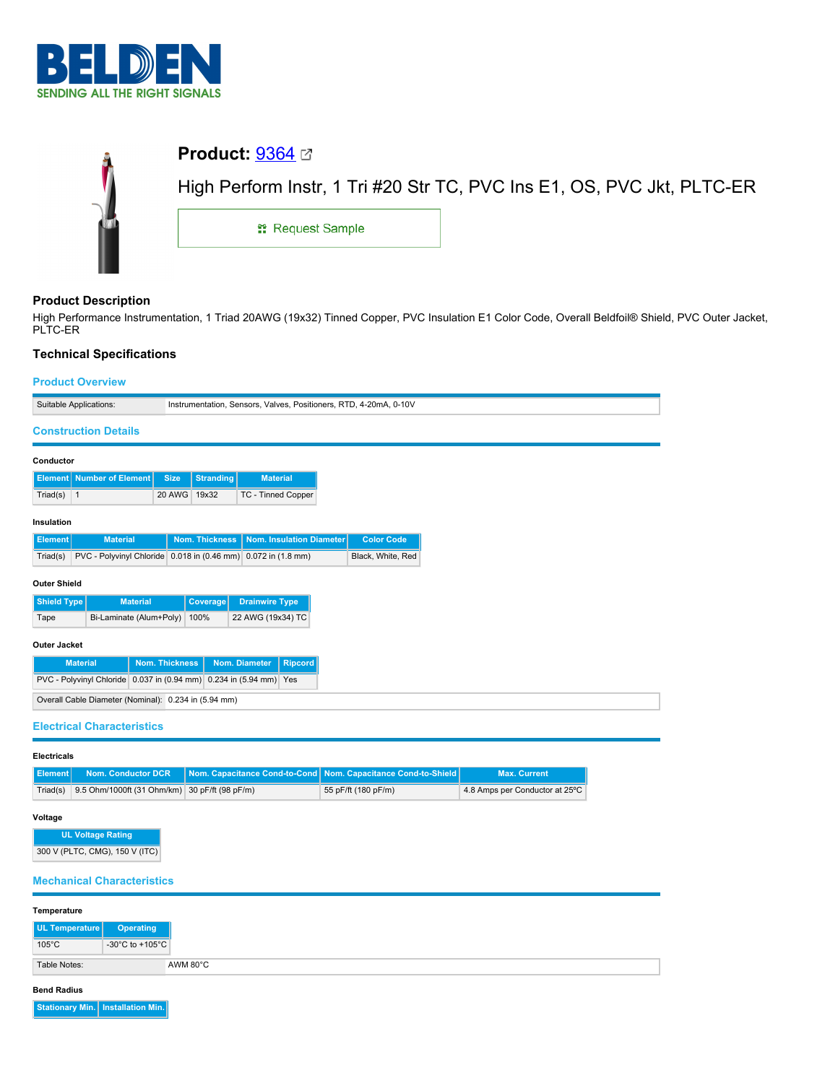

|   | <b>Product:</b> $9364 \n\text{C}$                                      |  |  |  |  |  |  |
|---|------------------------------------------------------------------------|--|--|--|--|--|--|
| Ť | High Perform Instr, 1 Tri #20 Str TC, PVC Ins E1, OS, PVC Jkt, PLTC-ER |  |  |  |  |  |  |
|   | <sub>11</sub> Request Sample                                           |  |  |  |  |  |  |
|   |                                                                        |  |  |  |  |  |  |

# **Product Description**

High Performance Instrumentation, 1 Triad 20AWG (19x32) Tinned Copper, PVC Insulation E1 Color Code, Overall Beldfoil® Shield, PVC Outer Jacket, PLTC-ER

# **Technical Specifications**

## **Product Overview**

|                                                                                                                                | <b>FIUGUL OVENIGW</b>       |  |             |                  |                                                               |  |                   |
|--------------------------------------------------------------------------------------------------------------------------------|-----------------------------|--|-------------|------------------|---------------------------------------------------------------|--|-------------------|
| Suitable Applications:<br>Instrumentation, Sensors, Valves, Positioners, RTD, 4-20mA, 0-10V                                    |                             |  |             |                  |                                                               |  |                   |
|                                                                                                                                | <b>Construction Details</b> |  |             |                  |                                                               |  |                   |
| Conductor                                                                                                                      |                             |  |             |                  |                                                               |  |                   |
| <b>Element</b>                                                                                                                 | <b>Number of Element</b>    |  | <b>Size</b> | <b>Stranding</b> | <b>Material</b>                                               |  |                   |
| Triad(s)                                                                                                                       | $\vert$ 1                   |  | 20 AWG      | 19x32            | TC - Tinned Copper                                            |  |                   |
| Insulation                                                                                                                     |                             |  |             |                  |                                                               |  |                   |
| <b>Element</b>                                                                                                                 | <b>Material</b>             |  |             | Nom. Thickness   | Nom. Insulation Diameter                                      |  | <b>Color Code</b> |
| Triad(s)                                                                                                                       |                             |  |             |                  | PVC - Polyvinyl Chloride 0.018 in (0.46 mm) 0.072 in (1.8 mm) |  | Black, White, Red |
| <b>Outer Shield</b>                                                                                                            |                             |  |             |                  |                                                               |  |                   |
| Shield Type<br><b>Material</b><br><b>Coverage</b><br><b>Drainwire Type</b>                                                     |                             |  |             |                  |                                                               |  |                   |
| Bi-Laminate (Alum+Poly)<br>22 AWG (19x34) TC<br>100%<br>Tape                                                                   |                             |  |             |                  |                                                               |  |                   |
| <b>Outer Jacket</b>                                                                                                            |                             |  |             |                  |                                                               |  |                   |
|                                                                                                                                | <b>Material</b>             |  |             |                  |                                                               |  |                   |
| <b>Nom. Thickness</b><br>Nom. Diameter<br><b>Ripcord</b><br>PVC - Polyvinyl Chloride 0.037 in (0.94 mm) 0.234 in (5.94 mm) Yes |                             |  |             |                  |                                                               |  |                   |
| Overall Cable Diameter (Nominal): 0.234 in (5.94 mm)                                                                           |                             |  |             |                  |                                                               |  |                   |
|                                                                                                                                |                             |  |             |                  |                                                               |  |                   |
| <b>Electrical Characteristics</b>                                                                                              |                             |  |             |                  |                                                               |  |                   |

**Electricals**

|                                                        | <b>Element Nom. Conductor DCR Nom. Capacitance Cond-to-Cond Nom. Capacitance Cond-to-Shield  </b> | <b>Max. Current</b>            |
|--------------------------------------------------------|---------------------------------------------------------------------------------------------------|--------------------------------|
| Triad(s) 9.5 Ohm/1000ft (31 Ohm/km) 30 pF/ft (98 pF/m) | 55 pF/ft (180 pF/m)                                                                               | 4.8 Amps per Conductor at 25°C |

### **Voltage**

**UL Voltage Rating** 300 V (PLTC, CMG), 150 V (ITC)

### **Mechanical Characteristics**

| Temperature     |                  |          |
|-----------------|------------------|----------|
| UL Temperature  | <b>Operating</b> |          |
| $105^{\circ}$ C | -30°C to +105°C  |          |
| Table Notes:    |                  | AWM 80°C |

#### **Bend Radius**

**Stationary Min. Installation Min.**